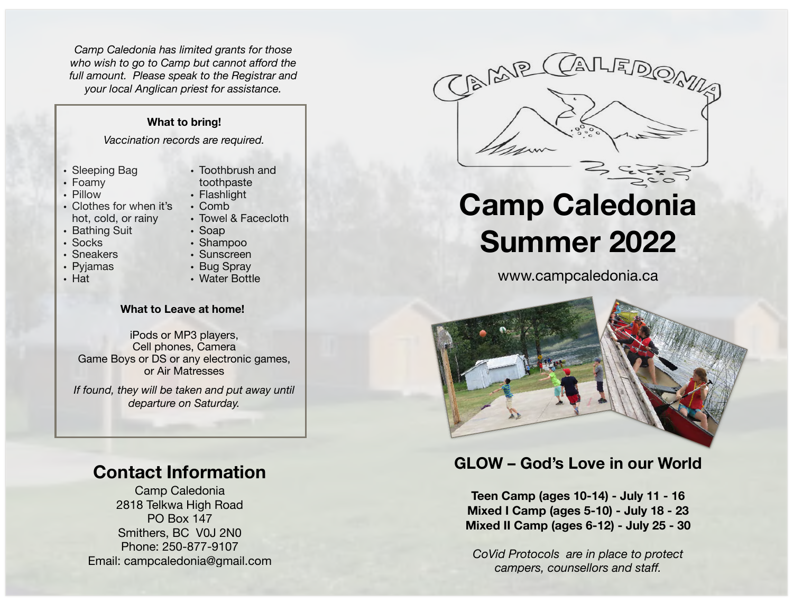*Camp Caledonia has limited grants for those who wish to go to Camp but cannot afford the full amount. Please speak to the Registrar and your local Anglican priest for assistance.* 

### **What to bring!**

*Vaccination records are required.*

- Sleeping Bag
- Foamy
- Pillow
- Clothes for when it's hot, cold, or rainy
- Bathing Suit
- Socks
- Sneakers
- Pyjamas
- Hat
- Toothbrush and toothpaste
- Flashlight
- Comb
- Towel & Facecloth
- Soap
- Shampoo
- Sunscreen
- Bug Spray
- Water Bottle

#### **What to Leave at home!**

iPods or MP3 players, Cell phones, Camera Game Boys or DS or any electronic games, or Air Matresses

*If found, they will be taken and put away until departure on Saturday.*

## **Contact Information**

Camp Caledonia 2818 Telkwa High Road PO Box 147 Smithers, BC V0J 2N0 Phone: 250-877-9107 Email: campcaledonia@gmail.com



# **Camp Caledonia Summer 2022**

[www.campcaledonia.ca](http://www.campcaledonia.ca)



## **GLOW – God's Love in our World**

**Teen Camp (ages 10-14) - July 11 - 16 Mixed I Camp (ages 5-10) - July 18 - 23 Mixed II Camp (ages 6-12) - July 25 - 30** 

*CoVid Protocols are in place to protect campers, counsellors and staff.*